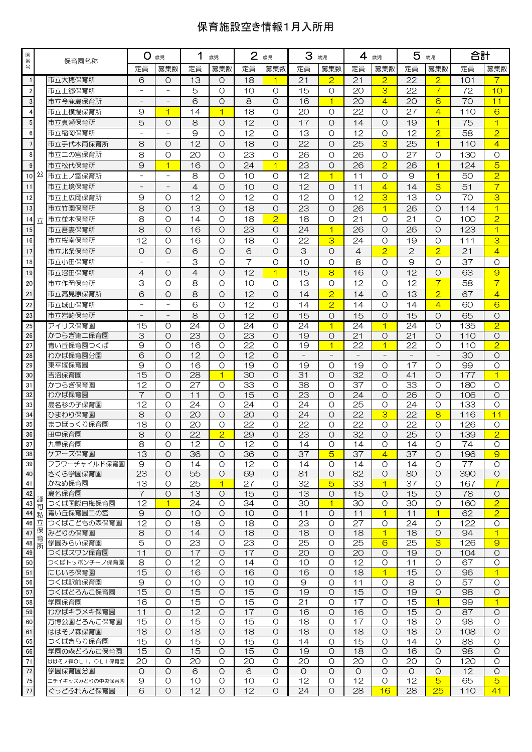## 保育施設空き情報1月入所用

| 園番             |        | 保育園名称               | O.<br>歳児                 |                          | 1<br>歳児         |                            | $\overline{2}$<br>歳児 |                      | 3<br>歳児               |                         | 4<br>歳児               |                     | 5<br>歳児               |                          | 合計        |                            |
|----------------|--------|---------------------|--------------------------|--------------------------|-----------------|----------------------------|----------------------|----------------------|-----------------------|-------------------------|-----------------------|---------------------|-----------------------|--------------------------|-----------|----------------------------|
| 믁              |        |                     | 定員                       | 募集数                      | 定員              | 募集数                        | 定員                   | 募集数                  | 定員                    | 募集数                     | 定員                    | 募集数                 | 定員                    | 募集数                      | 定員        | 募集数                        |
| $\mathbf{1}$   |        | 市立大穂保育所             | 6                        | $\circ$                  | 13              | $\circ$                    | 18                   | $\blacktriangleleft$ | 21                    | $\overline{2}$          | 21                    | $\overline{2}$      | 22                    | $\overline{2}$           | 101       | $\overline{7}$             |
| $\overline{2}$ |        | 市立上郷保育所             |                          |                          | 5               | $\circ$                    | 10                   | $\Omega$             | 15                    | $\Omega$                | 20                    | 3                   | 22                    | $\overline{\mathcal{L}}$ | 72        | 10                         |
| $\mathbf{3}$   |        | 市立今鹿島保育所            | $\overline{\phantom{0}}$ |                          | 6               | $\Omega$                   | 8                    | $\Omega$             | 16                    | $\overline{1}$          | 20                    | $\overline{4}$      | 20                    | 6                        | 70        | 11                         |
| $\overline{4}$ |        | 市立上横場保育所            | 9                        | $\overline{1}$           | 14              | $\overline{1}$             | 18                   | $\Omega$             | 20                    | O                       | 22                    | $\Omega$            | 27                    | $\overline{4}$           | 110       | 6                          |
| $\overline{5}$ |        | 市立真瀬保育所             | 5                        | $\circ$                  | 8               | $\circ$                    | 12                   | $\Omega$             | 17                    | $\Omega$                | 14                    | $\Omega$            | 19                    | $\overline{1}$           | 75        | $\overline{1}$             |
| $\bf 6$        |        | 市立稲岡保育所             |                          |                          | 9               | $\circ$                    | 12                   | $\Omega$             | 13                    | $\Omega$                | 12                    | $\circ$             | 12                    | $\overline{2}$           | 58        | $\overline{2}$             |
| $\overline{7}$ |        | 市立手代木南保育所           | 8                        | $\circ$                  | 12              | $\circ$                    | 18                   | $\Omega$             | 22                    | $\Omega$                | 25                    | 3                   | 25                    | $\overline{1}$           | 110       | $\overline{4}$             |
| 8              |        | 市立二の宮保育所            | 8                        | $\circ$                  | 20              | $\circ$                    | 23                   | $\Omega$             | 26                    | $\Omega$                | 26                    | $\Omega$            | 27                    | O                        | 130       | $\Omega$                   |
| $\overline{9}$ |        | 市立松代保育所             | $\Theta$                 | 1                        | 16              | $\circ$                    | 24                   | $\mathbf{1}$         | 23                    | $\Omega$                | 26                    | $\overline{2}$      | 26                    | 1                        | 124       | 5                          |
| 10             | 公      | 市立上ノ室保育所            |                          | $\overline{\phantom{0}}$ | 8               | $\circ$                    | 10                   | $\Omega$             | 12                    | $\overline{1}$          | 11                    | $\Omega$            | 9                     | $\overline{1}$           | 50        | $\overline{2}$             |
| 11             |        | 市立上境保育所             |                          |                          | $\overline{4}$  | $\circ$                    | 10                   | $\Omega$             | 12                    | O                       | 11                    | $\overline{4}$      | 14                    | 3                        | 51        | $\overline{7}$             |
| 12             |        | 市立上広岡保育所            | 9                        | $\circ$                  | 12              | $\circ$                    | 12                   | $\Omega$             | 12                    | $\Omega$                | 12                    | 3                   | 13                    | $\Omega$                 | 70        | 3                          |
| 13             |        | 市立竹園保育所             | 8                        | $\Omega$                 | 13              | $\circ$                    | 18                   | $\Omega$             | 23                    | $\Omega$                | 26                    | $\overline{1}$      | 26                    | $\Omega$                 | 114       | $\overline{1}$             |
| 14             | 立      | 市立並木保育所             | 8                        | $\circ$                  | 14              | $\circ$                    | 18                   | $\overline{2}$       | 18                    | $\Omega$                | 21                    | $\Omega$            | 21                    | O                        | 100       | $\overline{2}$             |
| 15             |        | 市立吾妻保育所             | 8                        | $\Omega$                 | 16              | $\circ$                    | 23                   | $\Omega$             | 24                    | $\overline{1}$          | 26                    | $\Omega$            | 26                    | $\Omega$                 | 123       | $\overline{1}$             |
| 16             |        | 市立桜南保育所             | 12                       | $\circ$                  | 16              | $\circ$                    | 18                   | $\Omega$             | 22                    | 3                       | 24                    | $\Omega$            | 19                    | Ω                        | 111       | 3                          |
| 17             |        | 市立北条保育所             | $\circ$                  | $\circ$                  | 6               | $\circ$                    | 6                    | $\Omega$             | 3                     | $\Omega$                | $\overline{4}$        | $\overline{2}$      | $\overline{2}$        | $\overline{2}$           | 21        | $\overline{4}$             |
| 18             |        | 市立小田保育所             |                          |                          | 3               | $\circ$                    | $\overline{7}$       | $\Omega$             | 10                    | $\circ$                 | 8                     | $\circ$             | $\Theta$              | $\circ$                  | 37        | $\Omega$                   |
| 19             |        | 市立沼田保育所             | $\overline{4}$           | $\circ$                  | $\overline{4}$  | $\circ$                    | 12                   | $\overline{1}$       | 15                    | 8                       | 16                    | $\circ$             | 12                    | $\circ$                  | 63        | $\Theta$                   |
| 20             |        | 市立作岡保育所             | 3                        | $\circ$                  | 8               | O                          | 10                   | $\Omega$             | 13                    | O                       | 12                    | $\circ$             | 12                    | $\overline{7}$           | 58        | $\overline{7}$             |
| 21             |        | 市立高見原保育所            | 6                        | $\circ$                  | 8               | $\circ$                    | 12                   | $\Omega$             | 14                    | $\overline{2}$          | 14                    | $\Omega$            | 13                    | $\overline{2}$           | 67        | $\overline{4}$             |
| 22             |        | 市立城山保育所             |                          |                          | 6               | $\circ$                    | 12                   | O                    | 14                    | $\overline{2}$          | 14                    | O                   | 14                    | $\overline{4}$           | 60        | 6                          |
| 23             |        | 市立岩崎保育所             |                          |                          | 8               | $\Omega$                   | 12                   | $\Omega$             | 15                    | $\Omega$                | 15                    | $\Omega$            | 15                    | $\circ$                  | 65        | $\Omega$                   |
| 25             |        | アイリス保育園             | 15                       | $\circ$                  | 24              | $\circ$                    | 24                   | O                    | 24                    | $\overline{\mathbf{1}}$ | 24                    | 1                   | 24                    | O                        | 135       | $\overline{2}$             |
| 26             |        | かつらぎ第二保育園           | 3                        | $\Omega$                 | 23              | $\Omega$                   | 23                   | $\Omega$             | 19                    | $\Omega$                | 21                    | $\Omega$            | 21                    | $\Omega$                 | 110       | $\Omega$                   |
| 27             |        | 青い丘保育園つくば           | 9                        | O                        | 16              | $\circ$                    | 22                   | O                    | 19                    | $\overline{1}$          | 22                    | $\overline{1}$      | 22                    | O                        | 110       | $\overline{2}$             |
| 28             |        | わかば保育園分園            | 6                        | $\circ$                  | 12              | $\circ$                    | 12                   | $\Omega$             |                       | $\qquad \qquad -$       |                       |                     |                       | $\overline{\phantom{a}}$ | 30        | O                          |
| 29             |        | 東平塚保育園              | 9                        | $\Omega$                 | 16              | $\circ$                    | 19                   | $\Omega$             | 19                    | O                       | 19                    | O                   | 17                    | O                        | 99        | $\Omega$                   |
| 30             |        | 吉沼保育園               | 15                       | $\circ$                  | $\overline{28}$ | $\overline{1}$             | $\overline{30}$      | $\Omega$             | 31                    | $\Omega$                | $\overline{32}$       | $\circ$             | 41                    | $\circ$                  | 177       | $\overline{1}$             |
| 31             |        | かつらぎ保育園             | 12                       | O                        | 27              | $\circ$                    | 33                   | $\Omega$             | 38                    | O                       | 37                    | O                   | 33                    | O                        | 180       | $\circ$                    |
| 32             |        | わかば保育園              | 7                        | $\Omega$                 | 11              | $\circ$                    | 15                   | $\Omega$             | 23                    | $\Omega$                | 24                    | $\Omega$            | 26                    | $\Omega$                 | 106       | $\Omega$                   |
| 33             |        | 島名杉の子保育園            | $\overline{12}$          | $\circ$                  | $\overline{24}$ | $\circ$                    | 24                   | $\circ$              | 24                    | $\circ$                 | 25                    | $\circ$             | 24                    | $\circ$                  | 133       | $\circ$                    |
| 34             |        | ひまわり保育園             | 8                        | $\circ$                  | $\overline{20}$ | $\circ$                    | 20                   | O                    | 24                    | $\circ$                 | $\overline{22}$       | 3                   | 22                    | 8                        | 116       | 11                         |
| 35             |        | まつぼっくり保育園           | 18                       | O                        | 20              | O                          | 22                   | O                    | 22                    | O                       | 22                    | O                   | 22                    | O                        | 126       | O                          |
| 36<br>37       |        | 田中保育園               | 8<br>8                   | $\circ$<br>$\Omega$      | 22<br>12        | $\overline{2}$<br>$\Omega$ | 29<br>12             | O<br>$\Omega$        | $\overline{23}$<br>14 | $\Omega$<br>$\Omega$    | $\overline{32}$<br>14 | $\Omega$            | $\overline{25}$<br>14 | O<br>$\Omega$            | 139<br>74 | $\overline{2}$<br>$\Omega$ |
| 38             |        | 九重保育園<br>ケアーズ保育園    | 13                       | O                        | 36              | O                          | 36                   | O                    | 37                    | $\overline{5}$          | 37                    | Ω                   | 37                    | O                        | 196       | $\Theta$                   |
| 39             |        | フラワーチャイルド保育園        | 9                        | O                        | 14              | $\circ$                    | 12                   | O                    | 14                    | O                       | 14                    | $\overline{4}$<br>O | 14                    | O                        | 77        | $\circ$                    |
| 40             |        | さくら学園保育園            | 23                       | $\circ$                  | 55              | $\circ$                    | 69                   | $\circ$              | 81                    | $\circ$                 | 82                    | $\circ$             | 80                    | $\circ$                  | 390       | $\circ$                    |
| 41             |        | かなめ保育園              | 13                       | O                        | 25              | $\overline{1}$             | 27                   | O                    | 32                    | $\overline{5}$          | 33                    | 1                   | 37                    | O                        | 167       | $\overline{7}$             |
| 42             |        | 島名保育園               | $\overline{7}$           | $\circ$                  | 13              | O                          | 15                   | $\circ$              | 13                    | O                       | 15                    | O                   | 15                    | $\circ$                  | 78        | O                          |
| 43             | 認<br>可 | つくば国際白梅保育園          | 12                       | $\overline{1}$           | 24              | $\circ$                    | 34                   | O                    | 30                    | $\overline{1}$          | 30                    | O                   | 30                    | O                        | 160       | $\overline{2}$             |
| 44 私           |        | 青い丘保育園二の宮           | 9                        | $\circ$                  | 10              | $\circ$                    | 10                   | $\circ$              | 11                    | O                       | 11                    | $\overline{1}$      | 11                    | 1                        | 62        | $\overline{2}$             |
| 46 立           |        | つくばこどもの森保育園         | $\overline{12}$          | $\Omega$                 | 18              | $\circ$                    | 18                   | $\circ$              | $\overline{23}$       | $\circ$                 | $\overline{27}$       | O                   | 24                    | $\circ$                  | 122       | $\circ$                    |
| 47             | 保<br>育 | みどりの保育園             | 8                        | $\circ$                  | 14              | $\circ$                    | 18                   | $\circ$              | 18                    | O                       | 18                    | $\overline{1}$      | 18                    | $\circ$                  | 94        | $\mathbf{1}$               |
| 48             | 所      | 学園みらい保育園            | 5                        | O                        | 23              | O                          | 23                   | O                    | 25                    | $\circ$                 | 25                    | 6                   | 25                    | 3                        | 126       | $\Theta$                   |
| 49             |        | つくばスワン保育園           | 11                       | $\circ$                  | 17              | O                          | 17                   | O                    | 20                    | $\circ$                 | 20                    | O                   | 19                    | O                        | 104       | $\circ$                    |
| 50             |        | つくばトッポンチーノ保育園       | 8                        | O                        | 12              | O                          | 14                   | $\circ$              | 10                    | O                       | 12                    | O                   | 11                    | O                        | 67        | 0                          |
| 51             |        | にじいろ保育園             | 15                       | $\circ$<br>$\circ$       | 16              | O<br>$\circ$               | 16                   | $\circ$              | 16                    | O                       | 18                    | $\overline{1}$      | 15                    | O<br>$\circ$             | 96        | $\mathbf{1}$               |
| 56             |        | つくば駅前保育園            | 9<br>15                  | $\circ$                  | 10<br>15        | $\circ$                    | 10<br>15             | $\Omega$<br>$\circ$  | 9<br>19               | $\Omega$<br>$\circ$     | 11<br>15              | O<br>$\circ$        | 8<br>19               | $\circ$                  | 57<br>98  | $\circ$<br>$\circ$         |
| 57<br>58       |        | つくばどろんこ保育園<br>学園保育園 | 16                       | O                        | 15              | O                          | 15                   | O                    | 21                    | $\circ$                 | 17                    | O                   | 15                    | $\overline{1}$           | 99        | $\mathbf{1}$               |
| 59             |        | わかばキラメキ保育園          | 11                       | $\circ$                  | 12              | O                          | 17                   | O                    | 16                    | $\Omega$                | 16                    | O                   | 15                    | O                        | 87        | O                          |
| 60             |        | 万博公園どろんこ保育園         | 15                       | O                        | 15              | O                          | 15                   | O                    | 18                    | O                       | 17                    | O                   | 18                    | $\circ$                  | 98        | $\circ$                    |
| 61             |        | ははそノ森保育園            | 18                       | $\circ$                  | 18              | $\circ$                    | 18                   | $\circ$              | 18                    | $\circ$                 | 18                    | $\circ$             | 18                    | $\circ$                  | 108       | $\circ$                    |
| 65             |        | つくばきらり保育園           | 15                       | $\circ$                  | 15              | $\circ$                    | 15                   | O                    | 14                    | O                       | 15                    | O                   | 14                    | O                        | 88        | 0                          |
| 66             |        | 学園の森どろんこ保育園         | 15                       | $\circ$                  | 15              | $\circ$                    | 15                   | $\circ$              | 19                    | $\circ$                 | 18                    | $\circ$             | 16                    | $\circ$                  | 98        | $\circ$                    |
| 71             |        | ははそノ森OLI,OLI保育園     | 20                       | O                        | 20              | O                          | 20                   | O                    | 20                    | O                       | 20                    | O                   | 20                    | O                        | 120       | O                          |
| 72             |        | 学園保育園分園             | O                        | O                        | 6               | O                          | 6                    | O                    | 0                     | O                       | O                     | O                   | 0                     | 0                        | 12        | 0                          |
| 75             |        | ニチイキッズみどりの中央保育園     | 9                        | O                        | 10              | $\circ$                    | 10                   | O                    | 12                    | O                       | 12                    | O                   | 12                    | $\overline{5}$           | 65        | $\overline{5}$             |
| 77             |        | ぐっどふれんど保育園          | 6                        | $\circ$                  | 12              | $\circ$                    | 12                   | $\circ$              | 24                    | $\circ$                 | 28                    | 16                  | 28                    | 25                       | 110       | 41                         |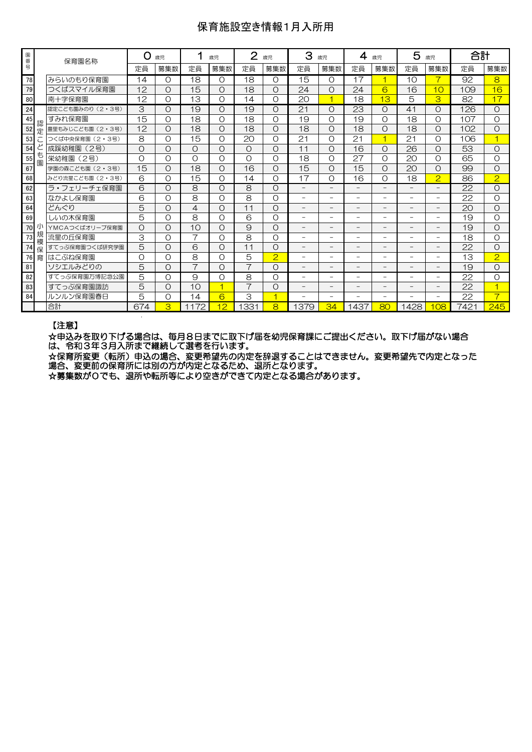## 保育施設空き情報1月入所用

| 園番号<br>保育園名称<br>78<br>みらいのもり保育園<br>79<br>つくばスマイル保育園<br>南十字保育園<br>80<br>24<br>認定こども園みのり (2・3号)<br>すみれ保育園<br>45<br>認<br>52<br>豊里もみじこども園 (2・3号)<br>定<br>53<br>つくば中央保育園 (2・3号) | 定員<br>14<br>12<br>12<br>3<br>15<br>12<br>8<br>$\circ$ | 募集数<br>O<br>$\circ$<br>O<br>$\circ$<br>O<br>O | 定員<br>18<br>15<br>13<br>19<br>18 | 募集数<br>$\Omega$<br>O<br>O<br>O<br>$\Omega$ | 定員<br>18<br>18<br>14<br>19 | 募集数<br>O<br>$\Omega$<br>Ω | 定員<br>15<br>24<br>20     | 募集数<br>$\Omega$<br>$\Omega$<br>1 | 定員<br>17<br>24           | 募集数<br>и<br>6            | 定員<br>10<br>16           | 募集数<br>10                | 定員<br>92<br>109 | 募集数<br>8<br>16          |
|----------------------------------------------------------------------------------------------------------------------------------------------------------------------------|-------------------------------------------------------|-----------------------------------------------|----------------------------------|--------------------------------------------|----------------------------|---------------------------|--------------------------|----------------------------------|--------------------------|--------------------------|--------------------------|--------------------------|-----------------|-------------------------|
|                                                                                                                                                                            |                                                       |                                               |                                  |                                            |                            |                           |                          |                                  |                          |                          |                          |                          |                 |                         |
|                                                                                                                                                                            |                                                       |                                               |                                  |                                            |                            |                           |                          |                                  |                          |                          |                          |                          |                 |                         |
|                                                                                                                                                                            |                                                       |                                               |                                  |                                            |                            |                           |                          |                                  |                          |                          |                          |                          |                 |                         |
|                                                                                                                                                                            |                                                       |                                               |                                  |                                            |                            |                           |                          |                                  | 18                       | 13                       | 5                        | 3                        | 82              | 17                      |
|                                                                                                                                                                            |                                                       |                                               |                                  |                                            |                            | Ο                         | 21                       | O                                | 23                       | Ο                        | 41                       | O                        | 126             | $\Omega$                |
|                                                                                                                                                                            |                                                       |                                               |                                  |                                            | 18                         | $\Omega$                  | 19                       | $\Omega$                         | 19                       | $\Omega$                 | 18                       | O                        | 107             | $\Omega$                |
|                                                                                                                                                                            |                                                       |                                               | 18                               | O                                          | 18                         | Ο                         | 18                       | O                                | 18                       | O                        | 18                       | $\circ$                  | 102             | O                       |
|                                                                                                                                                                            |                                                       | O                                             | 15                               | $\Omega$                                   | 20                         | $\Omega$                  | 21                       | $\Omega$                         | 21                       | и                        | 21                       | $\Omega$                 | 106             |                         |
| 成蹊幼稚園<br>(2号)<br>54                                                                                                                                                        |                                                       | $\circ$                                       | $\circ$                          | $\Omega$                                   | $\Omega$                   | $\Omega$                  | 11                       | $\Omega$                         | 16                       | Ω                        | $\overline{26}$          | $\circ$                  | 53              | $\Omega$                |
| も<br>55<br>栄幼稚園<br>(2号)<br>園                                                                                                                                               | $\Omega$                                              | O                                             | $\Omega$                         | $\Omega$                                   | $\Omega$                   | $\Omega$                  | 18                       | $\Omega$                         | 27                       | $\Omega$                 | 20                       | $\Omega$                 | 65              | $\Omega$                |
| 学園の森こども園 (2·3号)<br>67                                                                                                                                                      | 15                                                    | $\circ$                                       | 18                               | O                                          | 16                         | Ω                         | 15                       | $\Omega$                         | 15                       | O                        | 20                       | O                        | 99              | $\Omega$                |
| 68<br>みどり流星こども園 (2・3号)                                                                                                                                                     | 6                                                     | O                                             | 15                               | O                                          | 14                         | $\Omega$                  | 17                       | $\Omega$                         | 16                       | O                        | 18                       | $\overline{2}$           | 86              | 2                       |
| ラ・フェリーチェ保育園<br>62                                                                                                                                                          | 6                                                     | O                                             | 8                                | O                                          | 8                          | O                         | $\overline{\phantom{0}}$ | $\overline{\phantom{0}}$         | $\overline{\phantom{0}}$ |                          | $\overline{\phantom{0}}$ | $\overline{\phantom{0}}$ | 22              | $\Omega$                |
| 63<br>なかよし保育園                                                                                                                                                              | 6                                                     | O                                             | 8                                | O                                          | 8                          | $\Omega$                  | $\overline{\phantom{0}}$ | $\overline{\phantom{0}}$         | $\overline{\phantom{a}}$ | -                        | Ξ.                       | $\overline{\phantom{0}}$ | 22              | $\Omega$                |
| 64<br>どんぐり                                                                                                                                                                 | 5                                                     | $\circ$                                       | 4                                | $\Omega$                                   | 11                         | $\Omega$                  | $\overline{\phantom{0}}$ | $\overline{\phantom{0}}$         | $\overline{\phantom{0}}$ | -                        | $\overline{\phantom{0}}$ | $\overline{\phantom{0}}$ | 20              | $\Omega$                |
| 69<br>しいの木保育園                                                                                                                                                              | 5                                                     | O                                             | 8                                | O                                          | 6                          | Ο                         | -                        | $\overline{\phantom{0}}$         | $\overline{\phantom{0}}$ | -                        | -                        | Ξ.                       | 19              | $\Omega$                |
| 70<br>YMCAつくばオリーブ保育園                                                                                                                                                       | $\circ$                                               | $\Omega$                                      | 10                               | $\Omega$                                   | $\Theta$                   | $\Omega$                  | $\overline{\phantom{0}}$ | $\overline{\phantom{0}}$         | $\overline{\phantom{a}}$ | $\overline{\phantom{0}}$ |                          | $\overline{\phantom{0}}$ | 19              | $\Omega$                |
| 規<br>流星の斤保育園<br>73<br>模                                                                                                                                                    | 3                                                     | O                                             | $\overline{7}$                   | O                                          | 8                          | O                         | -                        | $\overline{\phantom{0}}$         | $\overline{\phantom{0}}$ | Ξ.                       | $\overline{\phantom{0}}$ | $\overline{\phantom{0}}$ | 18              | O                       |
| 74<br>すてっぷ保育園つくば研究学園<br>保                                                                                                                                                  | 5                                                     | $\circ$                                       | 6                                | O                                          | 11                         | Ο                         | -                        | -                                |                          | -                        |                          | $\qquad \qquad -$        | 22              | $\Omega$                |
| 育<br>はこぶね保育園<br>76                                                                                                                                                         | $\circ$                                               | O                                             | 8                                | O                                          | 5                          | $\overline{2}$            | -                        | $\overline{\phantom{0}}$         |                          |                          |                          | -                        | 13              | $\overline{2}$          |
| 81<br>ソシエルみどりの                                                                                                                                                             | 5                                                     | O                                             | $\overline{7}$                   | O                                          | $\overline{7}$             | Ο                         | $\qquad \qquad -$        | $\overline{\phantom{0}}$         | $\qquad \qquad -$        | -                        | -                        | $\overline{\phantom{0}}$ | 19              | $\Omega$                |
| 82<br>すてっぷ保育園万博記念公園                                                                                                                                                        | 5                                                     | O                                             | 9                                | O                                          | 8                          | Ο                         | $\overline{\phantom{0}}$ | $\overline{\phantom{0}}$         | ۰                        | $\overline{\phantom{0}}$ | $\overline{\phantom{0}}$ | $\equiv$                 | 22              | O                       |
| 83<br>すてっぷ保育園諏訪                                                                                                                                                            | 5                                                     | $\circ$                                       | 10                               | ┫                                          | $\overline{\phantom{1}}$   | $\Omega$                  |                          | -                                |                          |                          |                          | $\qquad \qquad -$        | 22              | $\overline{\mathbf{1}}$ |
| ルンルン保育園春日<br>84                                                                                                                                                            | 5                                                     | O                                             | 14                               | 6                                          | 3                          | $\overline{4}$            | $\overline{\phantom{0}}$ | $\overline{\phantom{0}}$         | ۰                        | $\overline{\phantom{0}}$ | $\overline{\phantom{0}}$ | $\overline{\phantom{0}}$ | 22              | $\overline{\mathbf{z}}$ |
| 合計                                                                                                                                                                         | 674                                                   | 3                                             | 1172                             | 12                                         | 1331                       | 8                         | 1379                     | 34                               | 1437                     | 80                       | 1428                     | <b>08</b>                | 7421            | 245                     |

#### 【注意】

☆申込みを取り下げる場合は、毎月8日までに取下げ届を幼児保育課にご提出ください。取下げ届がない場合 は、令和3年3月入所まで継続して選考を行います。

☆保育所変更(転所)申込の場合、変更希望先の内定を辞退することはできません。変更希望先で内定となった 場合、変更前の保育所には別の方が内定となるため、退所となります。

☆募集数が0でも、退所や転所等により空きができて内定となる場合があります。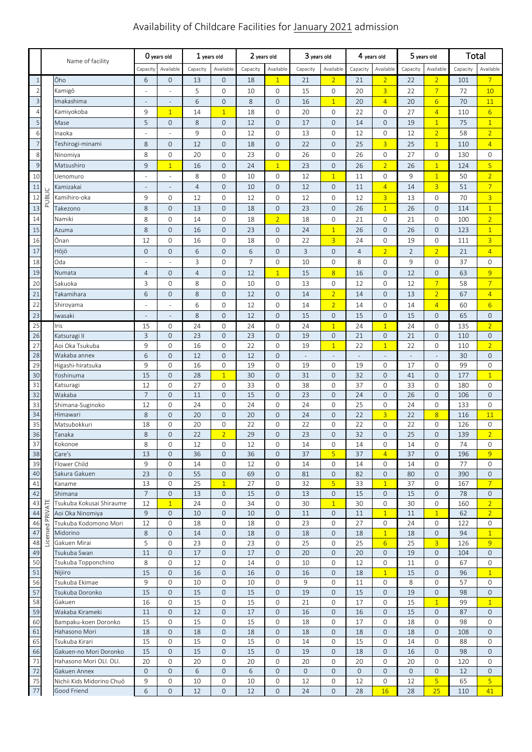# Availability of Childcare Facilities for January 2021 admission

|                |          |                                           | O years old              |                                     | 1 years old    |                     | 2 years old    |                              | 3 years old              |                          | 4 years old               |                            | 5 years old          |                          | Total      |                   |
|----------------|----------|-------------------------------------------|--------------------------|-------------------------------------|----------------|---------------------|----------------|------------------------------|--------------------------|--------------------------|---------------------------|----------------------------|----------------------|--------------------------|------------|-------------------|
|                |          | Name of facility                          |                          |                                     |                |                     |                |                              |                          |                          |                           | Available                  |                      |                          |            |                   |
|                |          |                                           | Capacity                 | Available                           | Capacity       | Available           | Capacity       | Available                    | Capacity                 | Available                | Capacity                  |                            | Capacity             | Available                | Capacity   | Available         |
| $\mathbf{1}$   |          | Ōho                                       | 6                        | $\mathbf 0$                         | 13             | $\overline{0}$      | 18             | $\overline{1}$               | 21                       | $\overline{2}$           | 21                        | $\overline{2}$             | 22                   | $\overline{2}$           | 101        | $\overline{7}$    |
| $\overline{c}$ |          | Kamigō                                    | ÷,                       | ÷,                                  | 5              | 0                   | 10             | 0                            | 15                       | 0                        | 20                        | $\overline{3}$             | 22                   | $\overline{7}$           | 72         | 10                |
| $\overline{3}$ |          | Imakashima                                | $\overline{\phantom{a}}$ | $\overline{\phantom{a}}$            | 6              | $\overline{0}$      | 8              | $\overline{0}$               | 16                       | $\overline{1}$           | 20                        | $\overline{4}$             | 20                   | $6 \overline{6}$         | 70         | 11                |
| $\overline{4}$ |          | Kamiyokoba                                | 9                        | $\mathbf{1}$                        | 14             | $\mathbf{1}$        | 18             | $\mathbf{0}$                 | 20                       | 0                        | 22                        | $\mathbf 0$                | 27                   | $\overline{4}$           | 110        | $6\overline{6}$   |
| 5              |          | Mase                                      | 5                        | $\mathsf{O}\xspace$                 | 8              | $\overline{0}$      | 12             | $\overline{0}$               | 17                       | 0                        | 14                        | $\mathbf 0$                | 19                   | $\mathbf{1}$             | 75         | $\overline{1}$    |
| 6              |          | Inaoka                                    |                          |                                     | 9              | 0                   | 12             | $\mathbf{0}$                 | 13                       | 0                        | 12                        | $\mathbf 0$                | 12                   | $\overline{2}$           | 58         | $\overline{2}$    |
| $\overline{7}$ |          | Teshirogi-minami                          | 8                        | $\mathbf 0$                         | 12             | $\overline{0}$      | 18             | $\mathbf 0$                  | 22                       | $\mathsf{O}\xspace$      | 25                        | $\overline{3}$             | 25                   | $\overline{1}$           | 110        | $\overline{4}$    |
| 8              |          | Ninomiya                                  | 8                        | $\mathbf 0$                         | 20             | 0                   | 23             | 0                            | 26                       | 0                        | 26                        | 0                          | 27                   | 0                        | 130        | $\mathbf{0}$      |
| $\overline{9}$ |          | Matsushiro                                | 9                        | $\overline{1}$                      | 16             | $\overline{0}$      | 24             | $\overline{1}$               | 23                       | $\mathsf{O}\xspace$      | 26                        | $\overline{2}$             | 26                   | $\mathbf{1}$             | 124        | 5 <sup>1</sup>    |
| 10             |          | Uenomuro                                  | ÷,                       | $\omega$                            | 8              | 0                   | 10             | 0                            | 12                       | $\overline{1}$           | 11                        | $\mathbf 0$                | 9                    | $\overline{1}$           | 50         | $\overline{2}$    |
| $11\,$         |          | Kamizakai                                 | $\overline{\phantom{a}}$ | $\sim$                              | $\overline{4}$ | $\overline{0}$      | 10             | $\mathbf 0$                  | 12                       | $\mathsf{O}\xspace$      | 11                        | $\overline{4}$             | 14                   | $\overline{3}$           | 51         | $\overline{7}$    |
| 12             | PUBLIC   | Kamihiro-oka                              | 9                        | 0                                   | 12             | 0                   | 12             | 0                            | 12                       | 0                        | 12                        | $\overline{3}$             | 13                   | 0                        | 70         | $\overline{3}$    |
| 13             |          | Takezono                                  | 8                        | $\mathbf 0$                         | 13             | $\overline{0}$      | 18             | $\mathbf 0$                  | 23                       | $\mathsf{O}\xspace$      | 26                        | $\overline{1}$             | 26                   | 0                        | 114        | $\overline{1}$    |
| 14             |          | Namiki                                    | 8                        | $\mathbf 0$                         | 14             | 0                   | 18             | $\overline{2}$               | 18                       | 0                        | 21                        | 0                          | 21                   | 0                        | 100        | $\overline{2}$    |
| 15             |          | Azuma                                     | 8                        | $\mathbf 0$                         | 16             | $\overline{0}$      | 23             | $\mathbf 0$                  | 24                       | $\overline{1}$           | 26                        | $\mathbf 0$                | 26                   | 0                        | 123        | $\overline{1}$    |
| 16             |          | Ōnan                                      | 12                       | $\mathbf 0$                         | 16             | 0                   | 18             | 0                            | 22                       | $\overline{3}$           | 24                        | $\mathbf 0$                | 19                   | 0                        | 111        | $\overline{3}$    |
| 17             |          |                                           | $\overline{0}$           | $\mathsf{O}\xspace$                 | 6              | $\overline{0}$      | 6              |                              | 3                        | $\mathsf{O}\xspace$      |                           | $\overline{2}$             |                      | $\overline{2}$           |            | $\overline{4}$    |
|                |          | Hōjō                                      |                          |                                     |                |                     |                | $\mathbf 0$                  |                          |                          | $\overline{4}$            |                            | $\overline{2}$       |                          | 21         |                   |
| 18             |          | Oda                                       |                          |                                     | 3              | 0                   | $\overline{7}$ | $\mathbf{0}$                 | 10                       | 0                        | 8                         | $\mathbf 0$                | 9                    | 0                        | 37         | $\mathbf 0$       |
| 19             |          | Numata                                    | $\overline{4}$           | $\mathsf{O}\xspace$                 | $\overline{4}$ | $\overline{0}$      | 12             | $\overline{1}$               | 15                       | $\overline{8}$           | 16                        | $\mathbf 0$                | 12                   | $\mathbf 0$              | 63         | 9                 |
| 20             |          | Sakuoka                                   | 3                        | $\mathbf 0$                         | 8              | 0                   | 10             | 0                            | 13                       | 0                        | 12                        | $\mathbf 0$                | 12                   | $\overline{7}$           | 58         | $\overline{7}$    |
| 21             |          | Takamihara                                | 6                        | $\mathbf 0$                         | 8              | $\overline{0}$      | 12             | $\mathbf 0$                  | 14                       | $\overline{2}$           | 14                        | $\mathbf 0$                | 13                   | $\overline{2}$           | 67         | $\overline{4}$    |
| 22             |          | Shiroyama                                 | $\sim$                   | ÷,                                  | 6              | 0                   | 12             | 0                            | 14                       | $\overline{2}$           | 14                        | $\mathbf 0$                | 14                   | $\overline{4}$           | 60         | 6                 |
| 23             |          | Iwasaki                                   | $\overline{\phantom{a}}$ | $\overline{\phantom{a}}$            | 8              | $\overline{0}$      | 12             | $\mathbf{0}$                 | 15                       | $\mathbf 0$              | 15                        | $\mathbf 0$                | 15                   | $\mathbf{O}$             | 65         | $\mathbf{0}$      |
| 25             |          | Iris                                      | 15                       | $\mathsf O$                         | 24             | $\mathsf{O}$        | 24             | $\mathbf{0}$                 | 24                       | $\overline{1}$           | 24                        | $\overline{1}$             | 24                   | $\mathbf 0$              | 135        | $\overline{2}$    |
| 26             |          | Katsuragi II                              | 3                        | $\mathbf 0$                         | 23             | $\mathsf{O}\xspace$ | 23             | 0                            | 19                       | $\mathbf 0$              | 21                        | $\mathsf O$                | 21                   | $\mathsf{O}\xspace$      | 110        | $\mathbf 0$       |
| 27             |          | Aoi Oka Tsukuba                           | 9                        | $\overline{0}$                      | 16             | $\overline{0}$      | 22             | $\mathbf{O}$                 | 19                       | $\overline{1}$           | 22                        | $\overline{1}$             | 22                   | 0                        | 110        | $\overline{2}$    |
| 28             |          | Wakaba annex                              | 6                        | $\mathsf{O}\xspace$                 | 12             | $\mathbf{O}$        | 12             | $\mathbf{0}$                 | $\overline{\phantom{a}}$ | $\sim$                   | $\Box$                    | $\Box$                     | $\frac{1}{2}$        | $\overline{\phantom{a}}$ | 30         | $\mathbf 0$       |
| 29             |          | Higashi-hiratsuka                         | 9                        | $\mathbf 0$                         | 16             | 0                   | 19             | $\mathbf{0}$                 | 19                       | 0                        | 19                        | 0                          | 17                   | 0                        | 99         | $\mathbf{O}$      |
| 30             |          | Yoshinuma                                 | 15                       | $\mathbf 0$                         | 28             | $\mathbf{1}$        | 30             | $\mathbf{0}$                 | 31                       | 0                        | 32                        | $\mathbf 0$                | 41                   | $\mathbf 0$              | 177        | $\mathbf{1}$      |
| 31<br>32       |          | Katsuragi<br>Wakaba                       | 12<br>$\overline{7}$     | $\mathsf{O}\xspace$                 | 27<br>11       | 0                   | 33             | 0                            | 38<br>23                 | 0                        | 37                        | $\mathbf 0$                | 33<br>26             | 0                        | 180        | $\mathbf{O}$      |
|                |          |                                           | 12                       | $\mathsf{O}\xspace$<br>$\mathbf 0$  | 24             | $\overline{0}$<br>0 | 15<br>24       | $\mathbf{0}$<br>$\mathbf{0}$ | 24                       | $\mathbf 0$<br>0         | 24<br>25                  | $\mathbf 0$<br>$\mathbf 0$ | 24                   | $\mathbf 0$<br>0         | 106<br>133 | $\mathbf{O}$<br>0 |
| 33<br>34       |          | Shimana-Suginoko<br>Himawari              | 8                        | $\mathbf 0$                         | 20             | $\mathsf{O}\xspace$ | 20             | $\mathbf{O}$                 | 24                       | $\mathbf 0$              | 22                        | $\overline{3}$             | 22                   | 8 <sup>2</sup>           | 116        | 11                |
| 35             |          | Matsubokkuri                              | 18                       | $\overline{0}$                      | 20             | 0                   | 22             | 0                            | 22                       | 0                        | 22                        | $\mathsf O$                | 22                   | 0                        | 126        | $\mathbf{O}$      |
| 36             |          | Tanaka                                    | 8                        | $\mathbf 0$                         | 22             | $\overline{2}$      | 29             | $\mathbf 0$                  | 23                       | $\mathbf 0$              | 32                        | $\mathbf 0$                | 25                   | $\mathbf 0$              | 139        | $\overline{2}$    |
| 37             |          | Kokonoe                                   | 8                        | $\overline{0}$                      | 12             | 0                   | 12             | $\mathbf{O}$                 | 14                       | 0                        | 14                        | $\overline{0}$             | 14                   | 0                        | 74         | $\mathbf{O}$      |
| 38             |          | Care's                                    | 13                       | $\mathbf{0}$                        | 36             | 0                   | 36             | $\mathbf{O}$                 | 37                       | 5 <sup>1</sup>           | 37                        | $\overline{4}$             | 37                   | 0                        | 196        | 9                 |
| 39             |          | Flower Child                              | 9                        | $\mathbf{0}$                        | 14             | 0                   | 12             | 0                            | 14                       | 0                        | 14                        | 0                          | 14                   | 0                        | 77         | 0                 |
| 40             |          | Sakura Gakuen                             | 23                       | $\mathsf{O}\xspace$                 | 55             | 0                   | 69             | $\mathbf 0$                  | 81                       | $\mathsf{O}\xspace$      | 82                        | $\mathsf O$                | 80                   | $\mathbf 0$              | 390        | $\mathbf 0$       |
| 41             |          | Kaname                                    | 13                       | $\mathbf{O}$                        | 25             | $\overline{1}$      | 27             | 0                            | 32                       | 5 <sup>1</sup>           | 33                        | $\mathbf{1}$               | 37                   | 0                        | 167        | $\overline{7}$    |
| 42             |          | Shimana                                   | $\overline{7}$           | $\mathsf{O}\xspace$                 | 13             | 0                   | 15             | $\mathbf 0$                  | 13                       | $\mathsf{O}\xspace$      | 15                        | $\mathbf 0$                | 15                   | 0                        | 78         | $\mathbf 0$       |
| 43             |          | Tsukuba Kokusai Shiraume                  | 12                       | $\mathbf{1}$                        | 24             | 0                   | 34             | 0                            | 30                       | $\mathbf{1}$             | 30                        | 0                          | 30                   | 0                        | 160        | $\overline{2}$    |
| 44             | PRIVATE  | Aoi Oka Ninomiya                          | $\overline{9}$           | $\mathbf 0$                         | 10             | $\mathbf{0}$        | 10             | $\mathbf 0$                  | 11                       | $\mathbf 0$              | 11                        | $\overline{1}$             | 11                   | $\overline{1}$           | 62         | 2 <sup>1</sup>    |
| 46             |          | Tsukuba Kodomono Mori                     | 12                       | $\mathbf 0$                         | 18             | 0                   | 18             | 0                            | 23                       | 0                        | 27                        | 0                          | 24                   | 0                        | 122        | 0                 |
| 47             | Licensed | Midorino                                  | 8                        | $\mathbf{O}$                        | 14             | $\overline{0}$      | 18             | $\mathbf{0}$                 | 18                       | $\mathsf{O}\xspace$      | 18                        | $\overline{1}$             | 18                   | $\mathbf 0$              | 94         | $\mathbf{1}$      |
| 48             |          | Gakuen Mirai                              | 5                        | $\mathsf{O}\xspace$                 | 23             | 0                   | 23             | 0                            | 25                       | 0                        | 25                        | 6                          | 25                   | $\overline{3}$           | 126        | 9                 |
| 49             |          | Tsukuba Swan                              | 11                       | $\mathbf 0$                         | 17             | 0                   | 17             | $\mathbf 0$                  | 20                       | 0                        | 20                        | $\mathbf 0$                | 19                   | 0                        | 104        | $\mathbf 0$       |
| 50             |          | Tsukuba Topponchino                       | 8                        | $\mathbf{0}$                        | 12             | $\mathbf{0}$        | 14             | $\mathbf 0$                  | 10                       | 0                        | 12                        | 0                          | 11                   | 0                        | 67         | $\mathbf 0$       |
| 51             |          | Nijiiro                                   | 15                       | $\mathbf 0$                         | 16             | $\mathbf 0$         | 16             | $\mathbf 0$                  | 16                       | $\mathsf{O}\xspace$      | 18                        | $\overline{1}$             | 15                   | $\mathbf 0$              | 96         | $\mathbf{1}$      |
| 56             |          | Tsukuba Ekimae                            | 9                        | $\mathbf{0}$                        | 10             | 0                   | 10             | 0                            | 9                        | 0                        | 11                        | 0                          | 8                    | 0                        | 57         | 0                 |
| 57             |          | Tsukuba Doronko                           | 15                       | $\mathbf{0}$                        | 15             | 0                   | 15             | $\mathbf 0$                  | 19                       | 0                        | 15                        | $\mathbf 0$                | 19                   | 0                        | 98         | $\mathbf 0$       |
| 58             |          | Gakuen                                    | 16                       | $\mathsf{O}\xspace$                 | 15             | $\mathsf{O}$        | 15             | $\mathbf 0$                  | 21                       | 0                        | $17\,$                    | $\mathsf O$                | 15                   | $\overline{1}$           | 99         | $\overline{1}$    |
| 59             |          | Wakaba Kirameki                           | 11                       | $\mathbf{O}$                        | 12             | $\overline{0}$      | 17             | $\mathbf 0$                  | 16                       | $\mathbf 0$              | 16                        | $\mathbf 0$                | 15                   | $\mathbf 0$              | 87         | $\mathbf{0}$      |
| 60             |          | Bampaku-koen Doronko                      | 15                       | $\mathbf{0}$                        | 15             | 0                   | 15             | 0                            | 18                       | 0                        | 17                        | 0                          | 18                   | 0                        | 98         | 0                 |
| 61             |          | Hahasono Mori                             | 18                       | $\mathbf 0$                         | 18             | 0                   | 18             | $\mathbf 0$                  | 18                       | 0                        | 18                        | $\mathbf 0$                | 18                   | 0                        | 108        | $\mathbf{0}$      |
| 65             |          | Tsukuba Kirari                            | 15                       | $\mathbf{0}$                        | 15             | 0                   | 15             | 0                            | 14                       | 0                        | 15                        | $\mathbf{0}$               | 14                   | 0                        | 88         | $\mathbf{0}$      |
| 66             |          | Gakuen-no Mori Doronko                    | 15                       | $\mathbf{0}$                        | 15             | 0                   | 15             | 0                            | 19                       | 0                        | 18                        | $\mathbf 0$                | 16                   | 0                        | 98         | $\mathbf 0$       |
| 71<br>72       |          | Hahasono Mori OLI. OLI.                   | 20<br>$\overline{0}$     | $\mathsf{O}\xspace$<br>$\mathbf{O}$ | 20<br>6        | 0<br>$\overline{0}$ | 20<br>6        | 0<br>$\mathbf{0}$            | 20<br>$\mathsf{O}$       | 0<br>$\mathsf{O}\xspace$ | 20<br>$\mathsf{O}\xspace$ | 0                          | 20<br>$\overline{0}$ | 0                        | 120        | 0<br>$\mathbf{0}$ |
| 75             |          | Gakuen Annex<br>Nichii Kids Midorino Chuō | 9                        | $\mathsf{O}\xspace$                 | 10             | 0                   | 10             |                              | 12                       | 0                        | 12                        | $\mathbf 0$<br>$\mathsf O$ | 12                   | 0<br>$\overline{5}$      | 12<br>65   | 5 <sup>1</sup>    |
| $77$           |          | Good Friend                               | 6                        | $\mathbf 0$                         | 12             | 0                   | 12             | 0<br>$\mathbf 0$             | 24                       | $\mathsf{O}\xspace$      | 28                        | 16                         | 28                   | 25                       | 110        | 41                |
|                |          |                                           |                          |                                     |                |                     |                |                              |                          |                          |                           |                            |                      |                          |            |                   |